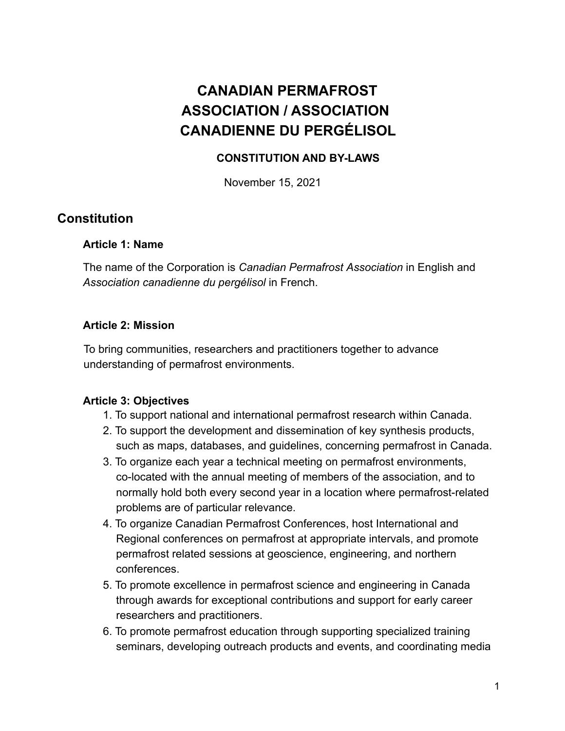# **CANADIAN PERMAFROST ASSOCIATION / ASSOCIATION CANADIENNE DU PERGÉLISOL**

## **CONSTITUTION AND BY-LAWS**

November 15, 2021

## **Constitution**

### **Article 1: Name**

The name of the Corporation is *Canadian Permafrost Association* in English and *Association canadienne du pergélisol* in French.

### **Article 2: Mission**

To bring communities, researchers and practitioners together to advance understanding of permafrost environments.

### **Article 3: Objectives**

- 1. To support national and international permafrost research within Canada.
- 2. To support the development and dissemination of key synthesis products, such as maps, databases, and guidelines, concerning permafrost in Canada.
- 3. To organize each year a technical meeting on permafrost environments, co-located with the annual meeting of members of the association, and to normally hold both every second year in a location where permafrost-related problems are of particular relevance.
- 4. To organize Canadian Permafrost Conferences, host International and Regional conferences on permafrost at appropriate intervals, and promote permafrost related sessions at geoscience, engineering, and northern conferences.
- 5. To promote excellence in permafrost science and engineering in Canada through awards for exceptional contributions and support for early career researchers and practitioners.
- 6. To promote permafrost education through supporting specialized training seminars, developing outreach products and events, and coordinating media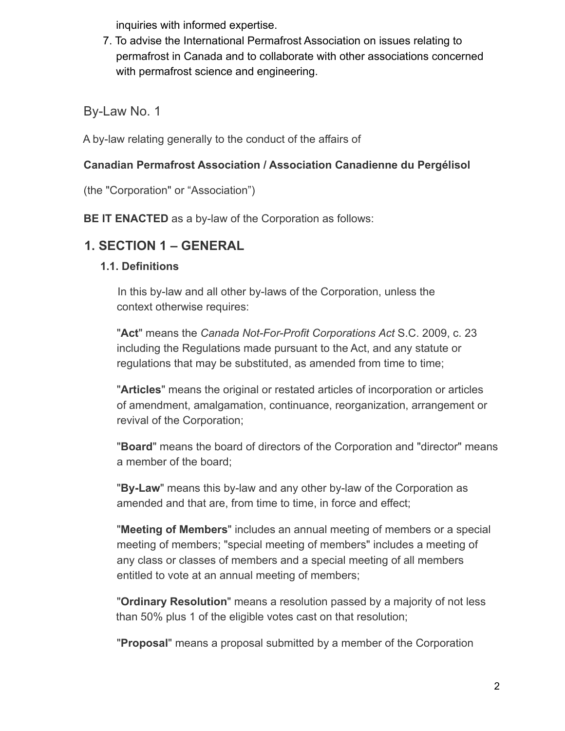inquiries with informed expertise.

7. To advise the International Permafrost Association on issues relating to permafrost in Canada and to collaborate with other associations concerned with permafrost science and engineering.

By-Law No. 1

A by-law relating generally to the conduct of the affairs of

## **Canadian Permafrost Association / Association Canadienne du Pergélisol**

(the "Corporation" or "Association")

**BE IT ENACTED** as a by-law of the Corporation as follows:

## **1. SECTION 1 – GENERAL**

## **1.1. Definitions**

In this by-law and all other by-laws of the Corporation, unless the context otherwise requires:

"**Act**" means the *Canada Not-For-Profit Corporations Act* S.C. 2009, c. 23 including the Regulations made pursuant to the Act, and any statute or regulations that may be substituted, as amended from time to time;

"**Articles**" means the original or restated articles of incorporation or articles of amendment, amalgamation, continuance, reorganization, arrangement or revival of the Corporation;

"**Board**" means the board of directors of the Corporation and "director" means a member of the board;

"**By-Law**" means this by-law and any other by-law of the Corporation as amended and that are, from time to time, in force and effect;

"**Meeting of Members**" includes an annual meeting of members or a special meeting of members; "special meeting of members" includes a meeting of any class or classes of members and a special meeting of all members entitled to vote at an annual meeting of members;

"**Ordinary Resolution**" means a resolution passed by a majority of not less than 50% plus 1 of the eligible votes cast on that resolution;

"**Proposal**" means a proposal submitted by a member of the Corporation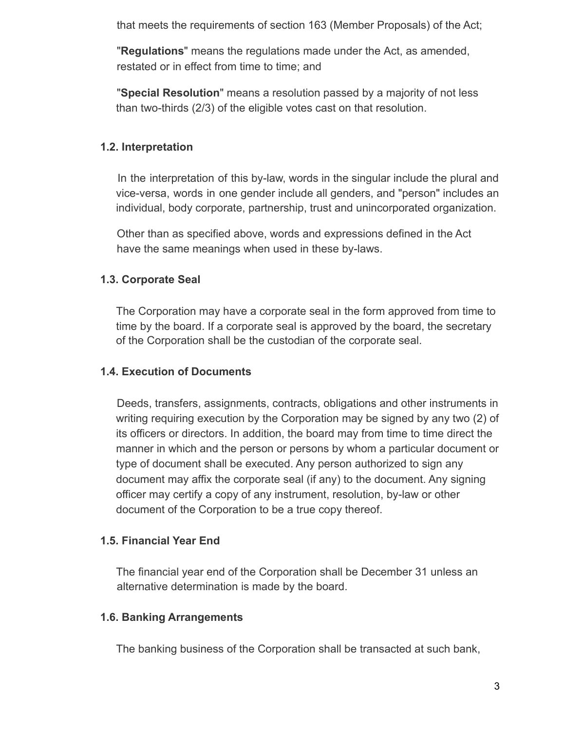that meets the requirements of section 163 (Member Proposals) of the Act;

"**Regulations**" means the regulations made under the Act, as amended, restated or in effect from time to time; and

"**Special Resolution**" means a resolution passed by a majority of not less than two-thirds (2/3) of the eligible votes cast on that resolution.

### **1.2. Interpretation**

In the interpretation of this by-law, words in the singular include the plural and vice-versa, words in one gender include all genders, and "person" includes an individual, body corporate, partnership, trust and unincorporated organization.

Other than as specified above, words and expressions defined in the Act have the same meanings when used in these by-laws.

## **1.3. Corporate Seal**

The Corporation may have a corporate seal in the form approved from time to time by the board. If a corporate seal is approved by the board, the secretary of the Corporation shall be the custodian of the corporate seal.

### **1.4. Execution of Documents**

Deeds, transfers, assignments, contracts, obligations and other instruments in writing requiring execution by the Corporation may be signed by any two (2) of its officers or directors. In addition, the board may from time to time direct the manner in which and the person or persons by whom a particular document or type of document shall be executed. Any person authorized to sign any document may affix the corporate seal (if any) to the document. Any signing officer may certify a copy of any instrument, resolution, by-law or other document of the Corporation to be a true copy thereof.

### **1.5. Financial Year End**

The financial year end of the Corporation shall be December 31 unless an alternative determination is made by the board.

### **1.6. Banking Arrangements**

The banking business of the Corporation shall be transacted at such bank,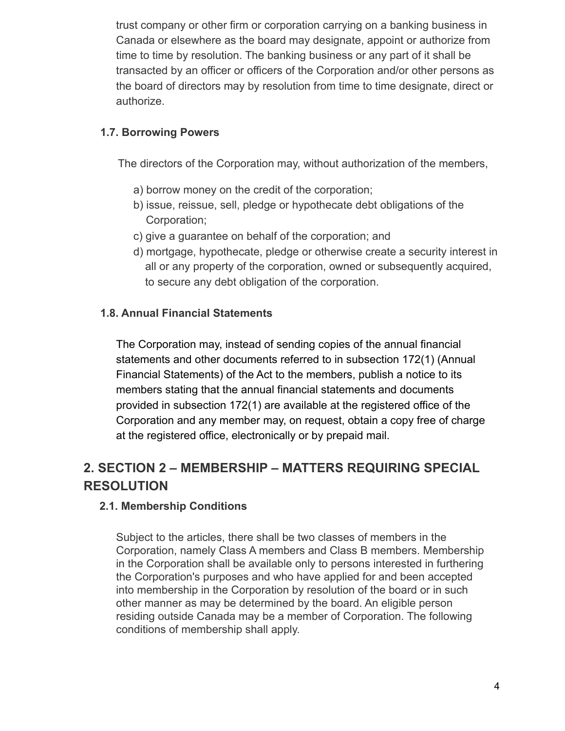trust company or other firm or corporation carrying on a banking business in Canada or elsewhere as the board may designate, appoint or authorize from time to time by resolution. The banking business or any part of it shall be transacted by an officer or officers of the Corporation and/or other persons as the board of directors may by resolution from time to time designate, direct or authorize.

## **1.7. Borrowing Powers**

The directors of the Corporation may, without authorization of the members,

- a) borrow money on the credit of the corporation;
- b) issue, reissue, sell, pledge or hypothecate debt obligations of the Corporation;
- c) give a guarantee on behalf of the corporation; and
- d) mortgage, hypothecate, pledge or otherwise create a security interest in all or any property of the corporation, owned or subsequently acquired, to secure any debt obligation of the corporation.

### **1.8. Annual Financial Statements**

The Corporation may, instead of sending copies of the annual financial statements and other documents referred to in subsection 172(1) (Annual Financial Statements) of the Act to the members, publish a notice to its members stating that the annual financial statements and documents provided in subsection 172(1) are available at the registered office of the Corporation and any member may, on request, obtain a copy free of charge at the registered office, electronically or by prepaid mail.

# **2. SECTION 2 – MEMBERSHIP – MATTERS REQUIRING SPECIAL RESOLUTION**

### **2.1. Membership Conditions**

Subject to the articles, there shall be two classes of members in the Corporation, namely Class A members and Class B members. Membership in the Corporation shall be available only to persons interested in furthering the Corporation's purposes and who have applied for and been accepted into membership in the Corporation by resolution of the board or in such other manner as may be determined by the board. An eligible person residing outside Canada may be a member of Corporation. The following conditions of membership shall apply.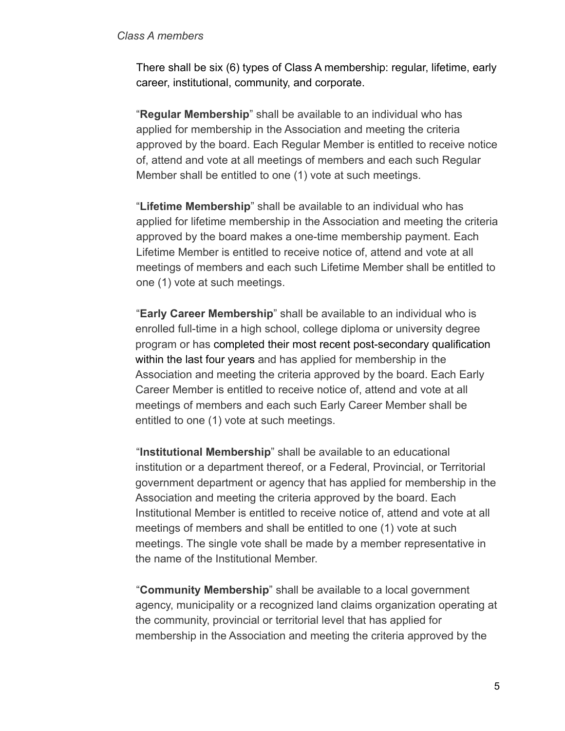#### *Class A members*

There shall be six (6) types of Class A membership: regular, lifetime, early career, institutional, community, and corporate.

"**Regular Membership**" shall be available to an individual who has applied for membership in the Association and meeting the criteria approved by the board. Each Regular Member is entitled to receive notice of, attend and vote at all meetings of members and each such Regular Member shall be entitled to one (1) vote at such meetings.

"**Lifetime Membership**" shall be available to an individual who has applied for lifetime membership in the Association and meeting the criteria approved by the board makes a one-time membership payment. Each Lifetime Member is entitled to receive notice of, attend and vote at all meetings of members and each such Lifetime Member shall be entitled to one (1) vote at such meetings.

"**Early Career Membership**" shall be available to an individual who is enrolled full-time in a high school, college diploma or university degree program or has completed their most recent post-secondary qualification within the last four years and has applied for membership in the Association and meeting the criteria approved by the board. Each Early Career Member is entitled to receive notice of, attend and vote at all meetings of members and each such Early Career Member shall be entitled to one (1) vote at such meetings.

"**Institutional Membership**" shall be available to an educational institution or a department thereof, or a Federal, Provincial, or Territorial government department or agency that has applied for membership in the Association and meeting the criteria approved by the board. Each Institutional Member is entitled to receive notice of, attend and vote at all meetings of members and shall be entitled to one (1) vote at such meetings. The single vote shall be made by a member representative in the name of the Institutional Member.

"**Community Membership**" shall be available to a local government agency, municipality or a recognized land claims organization operating at the community, provincial or territorial level that has applied for membership in the Association and meeting the criteria approved by the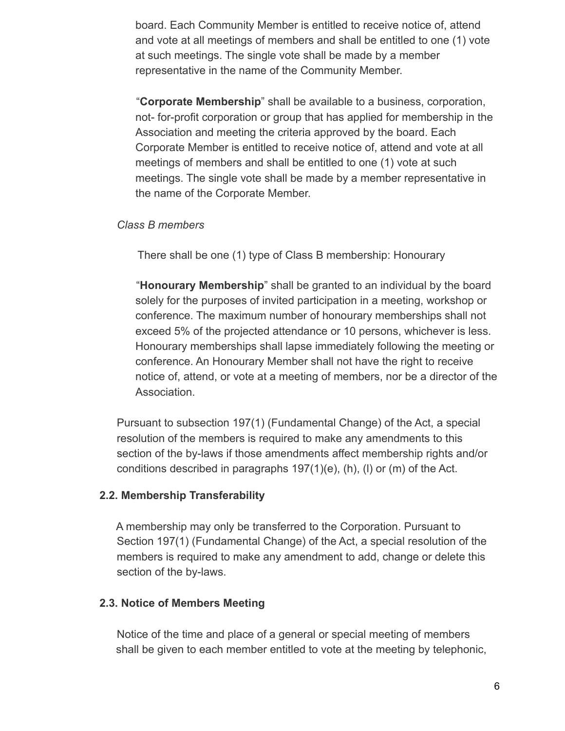board. Each Community Member is entitled to receive notice of, attend and vote at all meetings of members and shall be entitled to one (1) vote at such meetings. The single vote shall be made by a member representative in the name of the Community Member.

"**Corporate Membership**" shall be available to a business, corporation, not- for-profit corporation or group that has applied for membership in the Association and meeting the criteria approved by the board. Each Corporate Member is entitled to receive notice of, attend and vote at all meetings of members and shall be entitled to one (1) vote at such meetings. The single vote shall be made by a member representative in the name of the Corporate Member.

### *Class B members*

There shall be one (1) type of Class B membership: Honourary

"**Honourary Membership**" shall be granted to an individual by the board solely for the purposes of invited participation in a meeting, workshop or conference. The maximum number of honourary memberships shall not exceed 5% of the projected attendance or 10 persons, whichever is less. Honourary memberships shall lapse immediately following the meeting or conference. An Honourary Member shall not have the right to receive notice of, attend, or vote at a meeting of members, nor be a director of the Association.

Pursuant to subsection 197(1) (Fundamental Change) of the Act, a special resolution of the members is required to make any amendments to this section of the by-laws if those amendments affect membership rights and/or conditions described in paragraphs 197(1)(e), (h), (l) or (m) of the Act.

### **2.2. Membership Transferability**

A membership may only be transferred to the Corporation. Pursuant to Section 197(1) (Fundamental Change) of the Act, a special resolution of the members is required to make any amendment to add, change or delete this section of the by-laws.

### **2.3. Notice of Members Meeting**

Notice of the time and place of a general or special meeting of members shall be given to each member entitled to vote at the meeting by telephonic,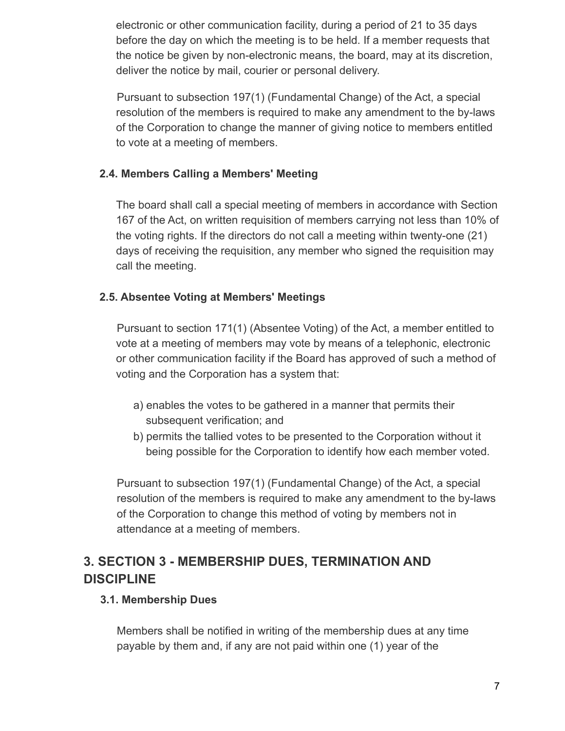electronic or other communication facility, during a period of 21 to 35 days before the day on which the meeting is to be held. If a member requests that the notice be given by non-electronic means, the board, may at its discretion, deliver the notice by mail, courier or personal delivery.

Pursuant to subsection 197(1) (Fundamental Change) of the Act, a special resolution of the members is required to make any amendment to the by-laws of the Corporation to change the manner of giving notice to members entitled to vote at a meeting of members.

### **2.4. Members Calling a Members' Meeting**

The board shall call a special meeting of members in accordance with Section 167 of the Act, on written requisition of members carrying not less than 10% of the voting rights. If the directors do not call a meeting within twenty-one (21) days of receiving the requisition, any member who signed the requisition may call the meeting.

### **2.5. Absentee Voting at Members' Meetings**

Pursuant to section 171(1) (Absentee Voting) of the Act, a member entitled to vote at a meeting of members may vote by means of a telephonic, electronic or other communication facility if the Board has approved of such a method of voting and the Corporation has a system that:

- a) enables the votes to be gathered in a manner that permits their subsequent verification; and
- b) permits the tallied votes to be presented to the Corporation without it being possible for the Corporation to identify how each member voted.

Pursuant to subsection 197(1) (Fundamental Change) of the Act, a special resolution of the members is required to make any amendment to the by-laws of the Corporation to change this method of voting by members not in attendance at a meeting of members.

# **3. SECTION 3 - MEMBERSHIP DUES, TERMINATION AND DISCIPLINE**

### **3.1. Membership Dues**

Members shall be notified in writing of the membership dues at any time payable by them and, if any are not paid within one (1) year of the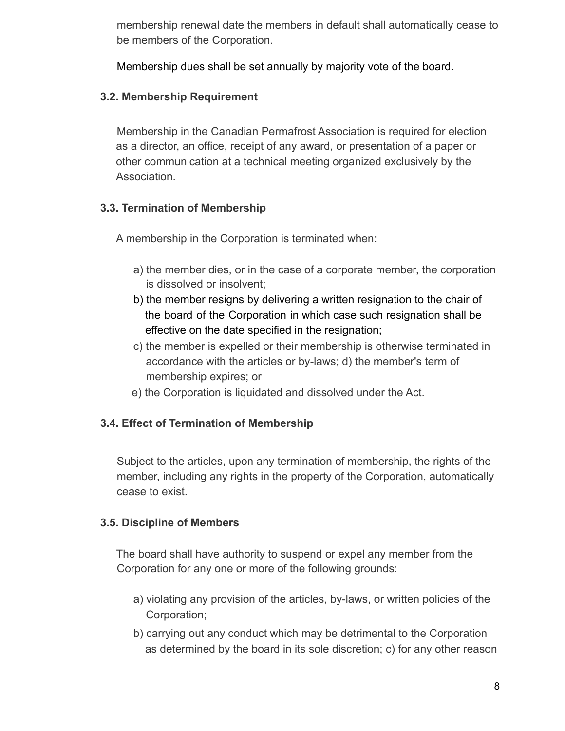membership renewal date the members in default shall automatically cease to be members of the Corporation.

Membership dues shall be set annually by majority vote of the board.

### **3.2. Membership Requirement**

Membership in the Canadian Permafrost Association is required for election as a director, an office, receipt of any award, or presentation of a paper or other communication at a technical meeting organized exclusively by the Association.

## **3.3. Termination of Membership**

A membership in the Corporation is terminated when:

- a) the member dies, or in the case of a corporate member, the corporation is dissolved or insolvent;
- b) the member resigns by delivering a written resignation to the chair of the board of the Corporation in which case such resignation shall be effective on the date specified in the resignation;
- c) the member is expelled or their membership is otherwise terminated in accordance with the articles or by-laws; d) the member's term of membership expires; or
- e) the Corporation is liquidated and dissolved under the Act.

### **3.4. Effect of Termination of Membership**

Subject to the articles, upon any termination of membership, the rights of the member, including any rights in the property of the Corporation, automatically cease to exist.

### **3.5. Discipline of Members**

The board shall have authority to suspend or expel any member from the Corporation for any one or more of the following grounds:

- a) violating any provision of the articles, by-laws, or written policies of the Corporation;
- b) carrying out any conduct which may be detrimental to the Corporation as determined by the board in its sole discretion; c) for any other reason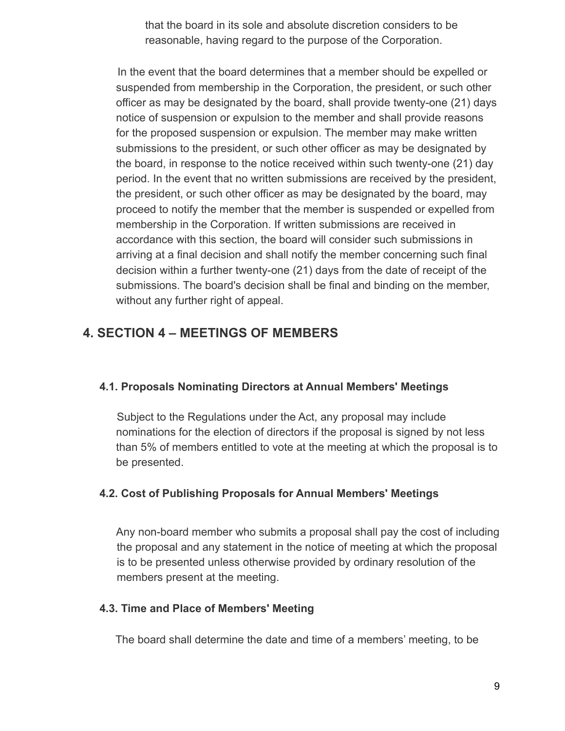that the board in its sole and absolute discretion considers to be reasonable, having regard to the purpose of the Corporation.

In the event that the board determines that a member should be expelled or suspended from membership in the Corporation, the president, or such other officer as may be designated by the board, shall provide twenty-one (21) days notice of suspension or expulsion to the member and shall provide reasons for the proposed suspension or expulsion. The member may make written submissions to the president, or such other officer as may be designated by the board, in response to the notice received within such twenty-one (21) day period. In the event that no written submissions are received by the president, the president, or such other officer as may be designated by the board, may proceed to notify the member that the member is suspended or expelled from membership in the Corporation. If written submissions are received in accordance with this section, the board will consider such submissions in arriving at a final decision and shall notify the member concerning such final decision within a further twenty-one (21) days from the date of receipt of the submissions. The board's decision shall be final and binding on the member, without any further right of appeal.

# **4. SECTION 4 – MEETINGS OF MEMBERS**

### **4.1. Proposals Nominating Directors at Annual Members' Meetings**

Subject to the Regulations under the Act, any proposal may include nominations for the election of directors if the proposal is signed by not less than 5% of members entitled to vote at the meeting at which the proposal is to be presented.

### **4.2. Cost of Publishing Proposals for Annual Members' Meetings**

Any non-board member who submits a proposal shall pay the cost of including the proposal and any statement in the notice of meeting at which the proposal is to be presented unless otherwise provided by ordinary resolution of the members present at the meeting.

### **4.3. Time and Place of Members' Meeting**

The board shall determine the date and time of a members' meeting, to be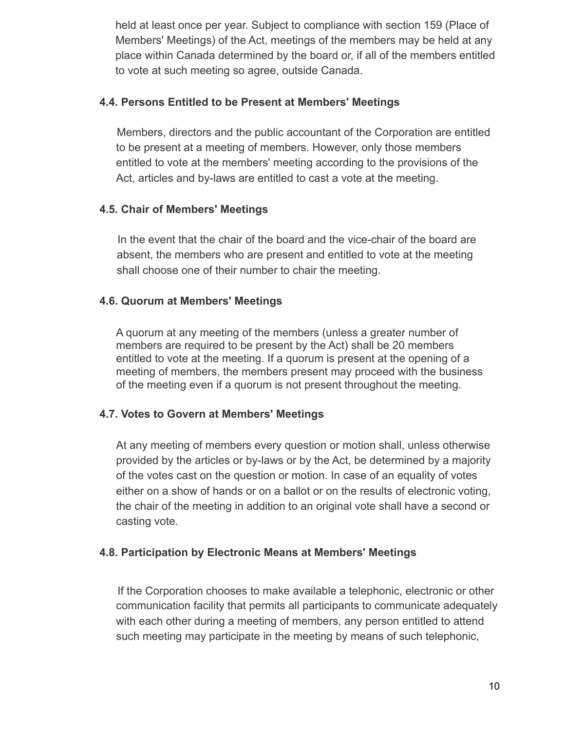held at least once per year. Subject to compliance with section 159 (Place of Members' Meetings) of the Act, meetings of the members may be held at any place within Canada determined by the board or, if all of the members entitled to vote at such meeting so agree, outside Canada.

### **4.4. Persons Entitled to be Present at Members' Meetings**

Members, directors and the public accountant of the Corporation are entitled to be present at a meeting of members. However, only those members entitled to vote at the members' meeting according to the provisions of the Act, articles and by-laws are entitled to cast a vote at the meeting.

### **4.5. Chair of Members' Meetings**

In the event that the chair of the board and the vice-chair of the board are absent, the members who are present and entitled to vote at the meeting shall choose one of their number to chair the meeting.

### **4.6. Quorum at Members' Meetings**

A quorum at any meeting of the members (unless a greater number of members are required to be present by the Act) shall be 20 members entitled to vote at the meeting. If a quorum is present at the opening of a meeting of members, the members present may proceed with the business of the meeting even if a quorum is not present throughout the meeting.

### **4.7. Votes to Govern at Members' Meetings**

At any meeting of members every question or motion shall, unless otherwise provided by the articles or by-laws or by the Act, be determined by a majority of the votes cast on the question or motion. In case of an equality of votes either on a show of hands or on a ballot or on the results of electronic voting, the chair of the meeting in addition to an original vote shall have a second or casting vote.

### **4.8. Participation by Electronic Means at Members' Meetings**

If the Corporation chooses to make available a telephonic, electronic or other communication facility that permits all participants to communicate adequately with each other during a meeting of members, any person entitled to attend such meeting may participate in the meeting by means of such telephonic,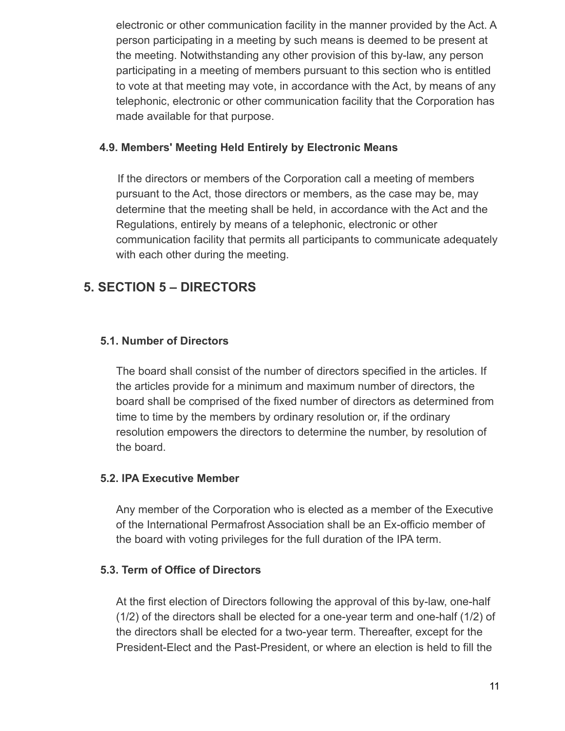electronic or other communication facility in the manner provided by the Act. A person participating in a meeting by such means is deemed to be present at the meeting. Notwithstanding any other provision of this by-law, any person participating in a meeting of members pursuant to this section who is entitled to vote at that meeting may vote, in accordance with the Act, by means of any telephonic, electronic or other communication facility that the Corporation has made available for that purpose.

### **4.9. Members' Meeting Held Entirely by Electronic Means**

If the directors or members of the Corporation call a meeting of members pursuant to the Act, those directors or members, as the case may be, may determine that the meeting shall be held, in accordance with the Act and the Regulations, entirely by means of a telephonic, electronic or other communication facility that permits all participants to communicate adequately with each other during the meeting.

# **5. SECTION 5 – DIRECTORS**

## **5.1. Number of Directors**

The board shall consist of the number of directors specified in the articles. If the articles provide for a minimum and maximum number of directors, the board shall be comprised of the fixed number of directors as determined from time to time by the members by ordinary resolution or, if the ordinary resolution empowers the directors to determine the number, by resolution of the board.

## **5.2. IPA Executive Member**

Any member of the Corporation who is elected as a member of the Executive of the International Permafrost Association shall be an Ex-officio member of the board with voting privileges for the full duration of the IPA term.

## **5.3. Term of Office of Directors**

At the first election of Directors following the approval of this by-law, one-half (1/2) of the directors shall be elected for a one-year term and one-half (1/2) of the directors shall be elected for a two-year term. Thereafter, except for the President-Elect and the Past-President, or where an election is held to fill the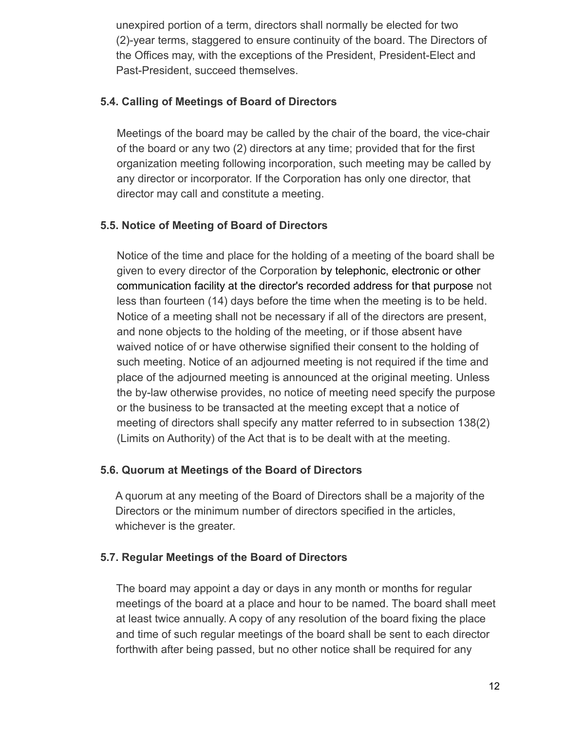unexpired portion of a term, directors shall normally be elected for two (2)-year terms, staggered to ensure continuity of the board. The Directors of the Offices may, with the exceptions of the President, President-Elect and Past-President, succeed themselves.

## **5.4. Calling of Meetings of Board of Directors**

Meetings of the board may be called by the chair of the board, the vice-chair of the board or any two (2) directors at any time; provided that for the first organization meeting following incorporation, such meeting may be called by any director or incorporator. If the Corporation has only one director, that director may call and constitute a meeting.

## **5.5. Notice of Meeting of Board of Directors**

Notice of the time and place for the holding of a meeting of the board shall be given to every director of the Corporation by telephonic, electronic or other communication facility at the director's recorded address for that purpose not less than fourteen (14) days before the time when the meeting is to be held. Notice of a meeting shall not be necessary if all of the directors are present, and none objects to the holding of the meeting, or if those absent have waived notice of or have otherwise signified their consent to the holding of such meeting. Notice of an adjourned meeting is not required if the time and place of the adjourned meeting is announced at the original meeting. Unless the by-law otherwise provides, no notice of meeting need specify the purpose or the business to be transacted at the meeting except that a notice of meeting of directors shall specify any matter referred to in subsection 138(2) (Limits on Authority) of the Act that is to be dealt with at the meeting.

## **5.6. Quorum at Meetings of the Board of Directors**

A quorum at any meeting of the Board of Directors shall be a majority of the Directors or the minimum number of directors specified in the articles, whichever is the greater.

## **5.7. Regular Meetings of the Board of Directors**

The board may appoint a day or days in any month or months for regular meetings of the board at a place and hour to be named. The board shall meet at least twice annually. A copy of any resolution of the board fixing the place and time of such regular meetings of the board shall be sent to each director forthwith after being passed, but no other notice shall be required for any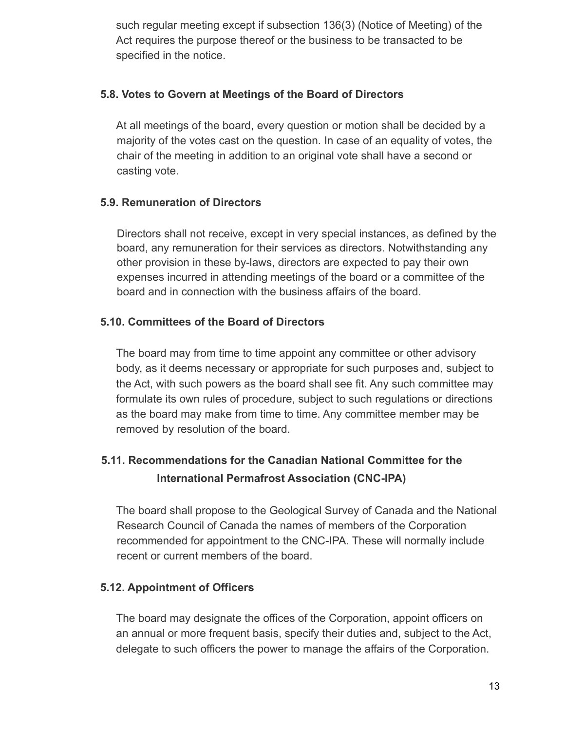such regular meeting except if subsection 136(3) (Notice of Meeting) of the Act requires the purpose thereof or the business to be transacted to be specified in the notice.

### **5.8. Votes to Govern at Meetings of the Board of Directors**

At all meetings of the board, every question or motion shall be decided by a majority of the votes cast on the question. In case of an equality of votes, the chair of the meeting in addition to an original vote shall have a second or casting vote.

## **5.9. Remuneration of Directors**

Directors shall not receive, except in very special instances, as defined by the board, any remuneration for their services as directors. Notwithstanding any other provision in these by-laws, directors are expected to pay their own expenses incurred in attending meetings of the board or a committee of the board and in connection with the business affairs of the board.

## **5.10. Committees of the Board of Directors**

The board may from time to time appoint any committee or other advisory body, as it deems necessary or appropriate for such purposes and, subject to the Act, with such powers as the board shall see fit. Any such committee may formulate its own rules of procedure, subject to such regulations or directions as the board may make from time to time. Any committee member may be removed by resolution of the board.

# **5.11. Recommendations for the Canadian National Committee for the International Permafrost Association (CNC-IPA)**

The board shall propose to the Geological Survey of Canada and the National Research Council of Canada the names of members of the Corporation recommended for appointment to the CNC-IPA. These will normally include recent or current members of the board.

### **5.12. Appointment of Officers**

The board may designate the offices of the Corporation, appoint officers on an annual or more frequent basis, specify their duties and, subject to the Act, delegate to such officers the power to manage the affairs of the Corporation.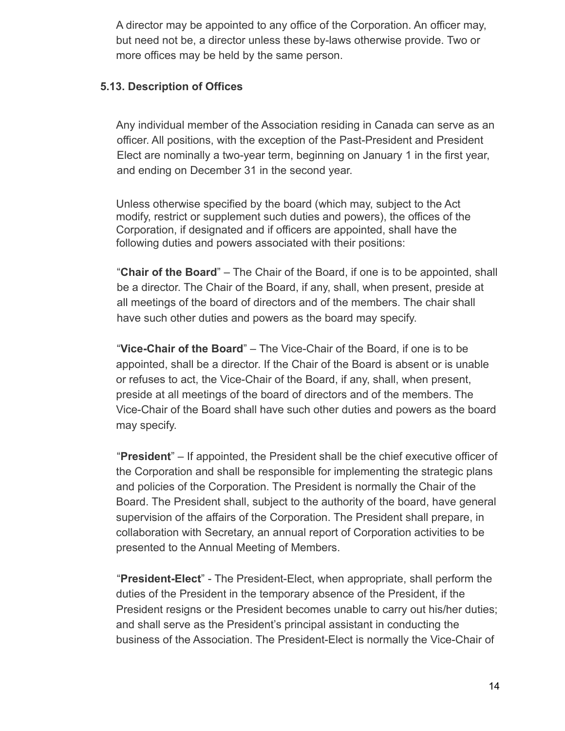A director may be appointed to any office of the Corporation. An officer may, but need not be, a director unless these by-laws otherwise provide. Two or more offices may be held by the same person.

### **5.13. Description of Offices**

Any individual member of the Association residing in Canada can serve as an officer. All positions, with the exception of the Past-President and President Elect are nominally a two-year term, beginning on January 1 in the first year, and ending on December 31 in the second year.

Unless otherwise specified by the board (which may, subject to the Act modify, restrict or supplement such duties and powers), the offices of the Corporation, if designated and if officers are appointed, shall have the following duties and powers associated with their positions:

"**Chair of the Board**" – The Chair of the Board, if one is to be appointed, shall be a director. The Chair of the Board, if any, shall, when present, preside at all meetings of the board of directors and of the members. The chair shall have such other duties and powers as the board may specify.

"**Vice-Chair of the Board**" – The Vice-Chair of the Board, if one is to be appointed, shall be a director. If the Chair of the Board is absent or is unable or refuses to act, the Vice-Chair of the Board, if any, shall, when present, preside at all meetings of the board of directors and of the members. The Vice-Chair of the Board shall have such other duties and powers as the board may specify.

"**President**" – If appointed, the President shall be the chief executive officer of the Corporation and shall be responsible for implementing the strategic plans and policies of the Corporation. The President is normally the Chair of the Board. The President shall, subject to the authority of the board, have general supervision of the affairs of the Corporation. The President shall prepare, in collaboration with Secretary, an annual report of Corporation activities to be presented to the Annual Meeting of Members.

"**President-Elect**" - The President-Elect, when appropriate, shall perform the duties of the President in the temporary absence of the President, if the President resigns or the President becomes unable to carry out his/her duties; and shall serve as the President's principal assistant in conducting the business of the Association. The President-Elect is normally the Vice-Chair of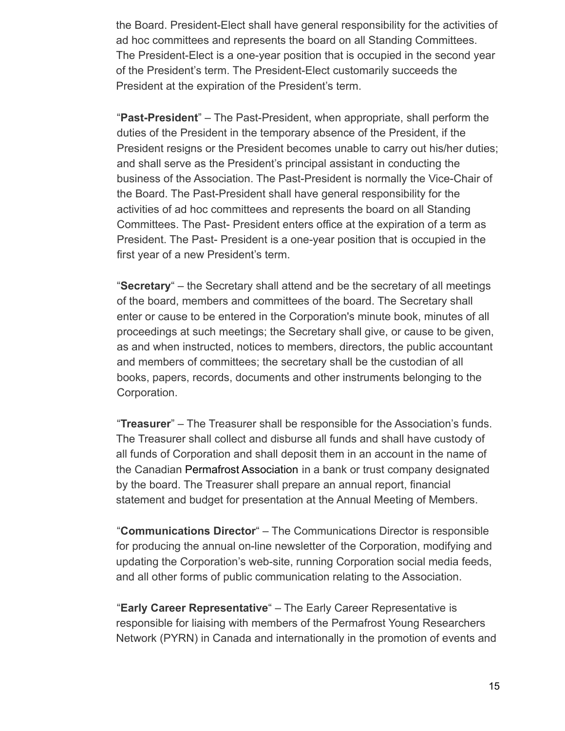the Board. President-Elect shall have general responsibility for the activities of ad hoc committees and represents the board on all Standing Committees. The President-Elect is a one-year position that is occupied in the second year of the President's term. The President-Elect customarily succeeds the President at the expiration of the President's term.

"**Past-President**" – The Past-President, when appropriate, shall perform the duties of the President in the temporary absence of the President, if the President resigns or the President becomes unable to carry out his/her duties; and shall serve as the President's principal assistant in conducting the business of the Association. The Past-President is normally the Vice-Chair of the Board. The Past-President shall have general responsibility for the activities of ad hoc committees and represents the board on all Standing Committees. The Past- President enters office at the expiration of a term as President. The Past- President is a one-year position that is occupied in the first year of a new President's term.

"**Secretary**" – the Secretary shall attend and be the secretary of all meetings of the board, members and committees of the board. The Secretary shall enter or cause to be entered in the Corporation's minute book, minutes of all proceedings at such meetings; the Secretary shall give, or cause to be given, as and when instructed, notices to members, directors, the public accountant and members of committees; the secretary shall be the custodian of all books, papers, records, documents and other instruments belonging to the Corporation.

"**Treasurer**" – The Treasurer shall be responsible for the Association's funds. The Treasurer shall collect and disburse all funds and shall have custody of all funds of Corporation and shall deposit them in an account in the name of the Canadian Permafrost Association in a bank or trust company designated by the board. The Treasurer shall prepare an annual report, financial statement and budget for presentation at the Annual Meeting of Members.

"**Communications Director**" – The Communications Director is responsible for producing the annual on-line newsletter of the Corporation, modifying and updating the Corporation's web-site, running Corporation social media feeds, and all other forms of public communication relating to the Association.

"**Early Career Representative**" – The Early Career Representative is responsible for liaising with members of the Permafrost Young Researchers Network (PYRN) in Canada and internationally in the promotion of events and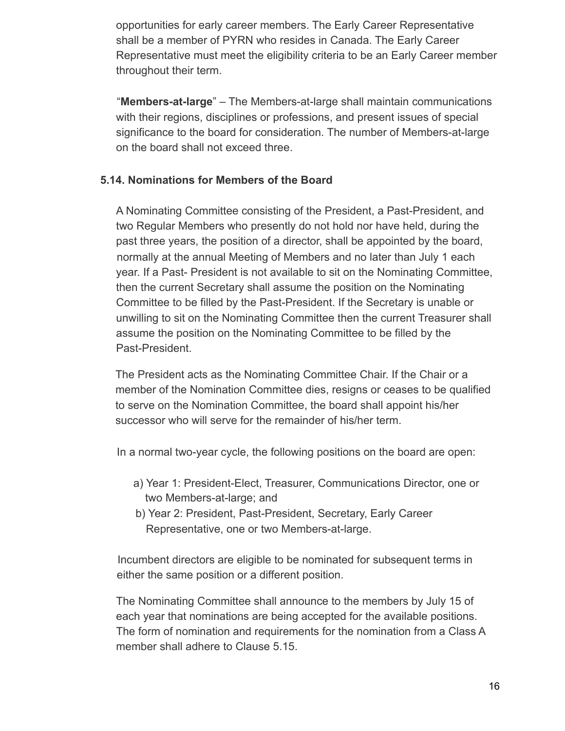opportunities for early career members. The Early Career Representative shall be a member of PYRN who resides in Canada. The Early Career Representative must meet the eligibility criteria to be an Early Career member throughout their term.

"**Members-at-large**" – The Members-at-large shall maintain communications with their regions, disciplines or professions, and present issues of special significance to the board for consideration. The number of Members-at-large on the board shall not exceed three.

### **5.14. Nominations for Members of the Board**

A Nominating Committee consisting of the President, a Past-President, and two Regular Members who presently do not hold nor have held, during the past three years, the position of a director, shall be appointed by the board, normally at the annual Meeting of Members and no later than July 1 each year. If a Past- President is not available to sit on the Nominating Committee, then the current Secretary shall assume the position on the Nominating Committee to be filled by the Past-President. If the Secretary is unable or unwilling to sit on the Nominating Committee then the current Treasurer shall assume the position on the Nominating Committee to be filled by the Past-President.

The President acts as the Nominating Committee Chair. If the Chair or a member of the Nomination Committee dies, resigns or ceases to be qualified to serve on the Nomination Committee, the board shall appoint his/her successor who will serve for the remainder of his/her term.

In a normal two-year cycle, the following positions on the board are open:

- a) Year 1: President-Elect, Treasurer, Communications Director, one or two Members-at-large; and
- b) Year 2: President, Past-President, Secretary, Early Career Representative, one or two Members-at-large.

Incumbent directors are eligible to be nominated for subsequent terms in either the same position or a different position.

The Nominating Committee shall announce to the members by July 15 of each year that nominations are being accepted for the available positions. The form of nomination and requirements for the nomination from a Class A member shall adhere to Clause 5.15.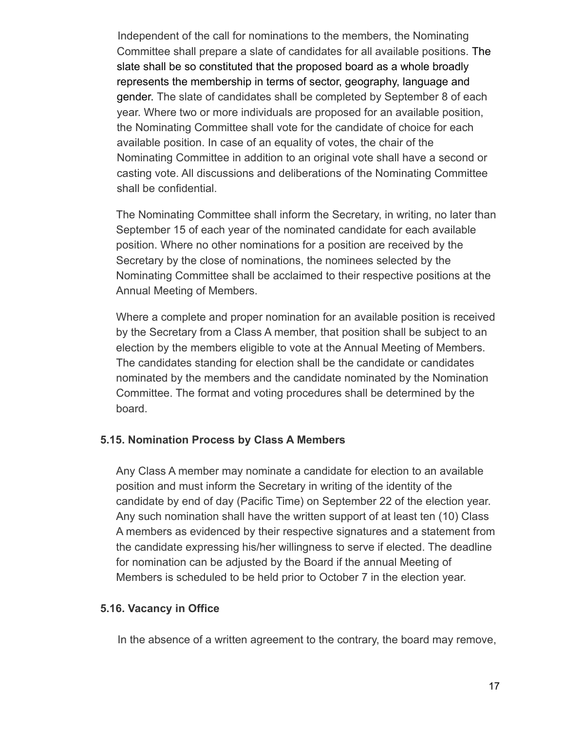Independent of the call for nominations to the members, the Nominating Committee shall prepare a slate of candidates for all available positions. The slate shall be so constituted that the proposed board as a whole broadly represents the membership in terms of sector, geography, language and gender. The slate of candidates shall be completed by September 8 of each year. Where two or more individuals are proposed for an available position, the Nominating Committee shall vote for the candidate of choice for each available position. In case of an equality of votes, the chair of the Nominating Committee in addition to an original vote shall have a second or casting vote. All discussions and deliberations of the Nominating Committee shall be confidential.

The Nominating Committee shall inform the Secretary, in writing, no later than September 15 of each year of the nominated candidate for each available position. Where no other nominations for a position are received by the Secretary by the close of nominations, the nominees selected by the Nominating Committee shall be acclaimed to their respective positions at the Annual Meeting of Members.

Where a complete and proper nomination for an available position is received by the Secretary from a Class A member, that position shall be subject to an election by the members eligible to vote at the Annual Meeting of Members. The candidates standing for election shall be the candidate or candidates nominated by the members and the candidate nominated by the Nomination Committee. The format and voting procedures shall be determined by the board.

### **5.15. Nomination Process by Class A Members**

Any Class A member may nominate a candidate for election to an available position and must inform the Secretary in writing of the identity of the candidate by end of day (Pacific Time) on September 22 of the election year. Any such nomination shall have the written support of at least ten (10) Class A members as evidenced by their respective signatures and a statement from the candidate expressing his/her willingness to serve if elected. The deadline for nomination can be adjusted by the Board if the annual Meeting of Members is scheduled to be held prior to October 7 in the election year.

### **5.16. Vacancy in Office**

In the absence of a written agreement to the contrary, the board may remove,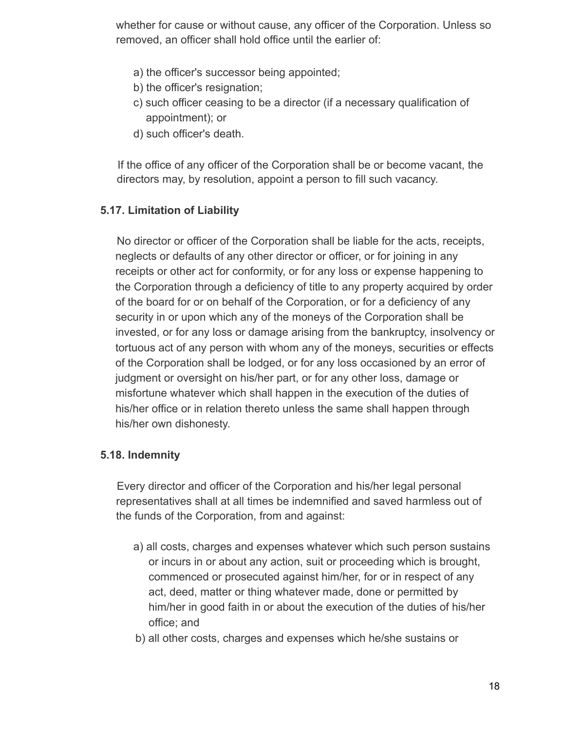whether for cause or without cause, any officer of the Corporation. Unless so removed, an officer shall hold office until the earlier of:

- a) the officer's successor being appointed;
- b) the officer's resignation;
- c) such officer ceasing to be a director (if a necessary qualification of appointment); or
- d) such officer's death.

If the office of any officer of the Corporation shall be or become vacant, the directors may, by resolution, appoint a person to fill such vacancy.

### **5.17. Limitation of Liability**

No director or officer of the Corporation shall be liable for the acts, receipts, neglects or defaults of any other director or officer, or for joining in any receipts or other act for conformity, or for any loss or expense happening to the Corporation through a deficiency of title to any property acquired by order of the board for or on behalf of the Corporation, or for a deficiency of any security in or upon which any of the moneys of the Corporation shall be invested, or for any loss or damage arising from the bankruptcy, insolvency or tortuous act of any person with whom any of the moneys, securities or effects of the Corporation shall be lodged, or for any loss occasioned by an error of judgment or oversight on his/her part, or for any other loss, damage or misfortune whatever which shall happen in the execution of the duties of his/her office or in relation thereto unless the same shall happen through his/her own dishonesty.

### **5.18. Indemnity**

Every director and officer of the Corporation and his/her legal personal representatives shall at all times be indemnified and saved harmless out of the funds of the Corporation, from and against:

- a) all costs, charges and expenses whatever which such person sustains or incurs in or about any action, suit or proceeding which is brought, commenced or prosecuted against him/her, for or in respect of any act, deed, matter or thing whatever made, done or permitted by him/her in good faith in or about the execution of the duties of his/her office; and
- b) all other costs, charges and expenses which he/she sustains or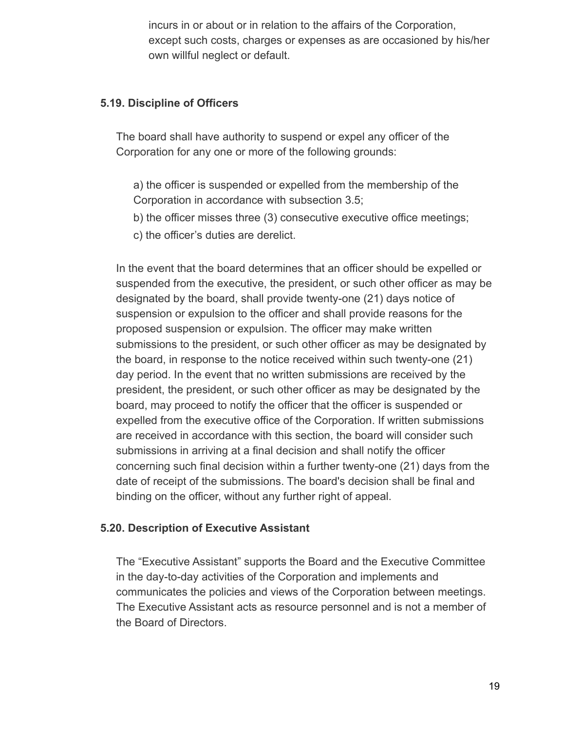incurs in or about or in relation to the affairs of the Corporation, except such costs, charges or expenses as are occasioned by his/her own willful neglect or default.

### **5.19. Discipline of Officers**

The board shall have authority to suspend or expel any officer of the Corporation for any one or more of the following grounds:

a) the officer is suspended or expelled from the membership of the Corporation in accordance with subsection 3.5;

b) the officer misses three (3) consecutive executive office meetings;

c) the officer's duties are derelict.

In the event that the board determines that an officer should be expelled or suspended from the executive, the president, or such other officer as may be designated by the board, shall provide twenty-one (21) days notice of suspension or expulsion to the officer and shall provide reasons for the proposed suspension or expulsion. The officer may make written submissions to the president, or such other officer as may be designated by the board, in response to the notice received within such twenty-one (21) day period. In the event that no written submissions are received by the president, the president, or such other officer as may be designated by the board, may proceed to notify the officer that the officer is suspended or expelled from the executive office of the Corporation. If written submissions are received in accordance with this section, the board will consider such submissions in arriving at a final decision and shall notify the officer concerning such final decision within a further twenty-one (21) days from the date of receipt of the submissions. The board's decision shall be final and binding on the officer, without any further right of appeal.

### **5.20. Description of Executive Assistant**

The "Executive Assistant" supports the Board and the Executive Committee in the day-to-day activities of the Corporation and implements and communicates the policies and views of the Corporation between meetings. The Executive Assistant acts as resource personnel and is not a member of the Board of Directors.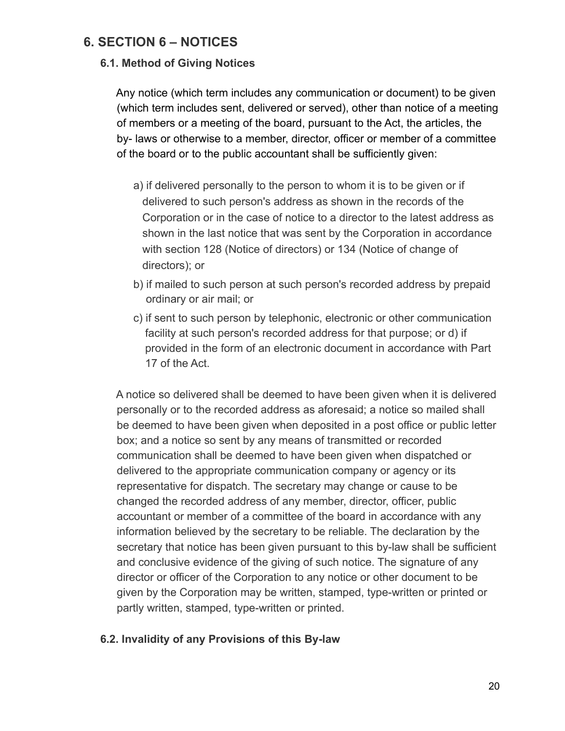## **6. SECTION 6 – NOTICES**

### **6.1. Method of Giving Notices**

Any notice (which term includes any communication or document) to be given (which term includes sent, delivered or served), other than notice of a meeting of members or a meeting of the board, pursuant to the Act, the articles, the by- laws or otherwise to a member, director, officer or member of a committee of the board or to the public accountant shall be sufficiently given:

- a) if delivered personally to the person to whom it is to be given or if delivered to such person's address as shown in the records of the Corporation or in the case of notice to a director to the latest address as shown in the last notice that was sent by the Corporation in accordance with section 128 (Notice of directors) or 134 (Notice of change of directors); or
- b) if mailed to such person at such person's recorded address by prepaid ordinary or air mail; or
- c) if sent to such person by telephonic, electronic or other communication facility at such person's recorded address for that purpose; or d) if provided in the form of an electronic document in accordance with Part 17 of the Act.

A notice so delivered shall be deemed to have been given when it is delivered personally or to the recorded address as aforesaid; a notice so mailed shall be deemed to have been given when deposited in a post office or public letter box; and a notice so sent by any means of transmitted or recorded communication shall be deemed to have been given when dispatched or delivered to the appropriate communication company or agency or its representative for dispatch. The secretary may change or cause to be changed the recorded address of any member, director, officer, public accountant or member of a committee of the board in accordance with any information believed by the secretary to be reliable. The declaration by the secretary that notice has been given pursuant to this by-law shall be sufficient and conclusive evidence of the giving of such notice. The signature of any director or officer of the Corporation to any notice or other document to be given by the Corporation may be written, stamped, type-written or printed or partly written, stamped, type-written or printed.

### **6.2. Invalidity of any Provisions of this By-law**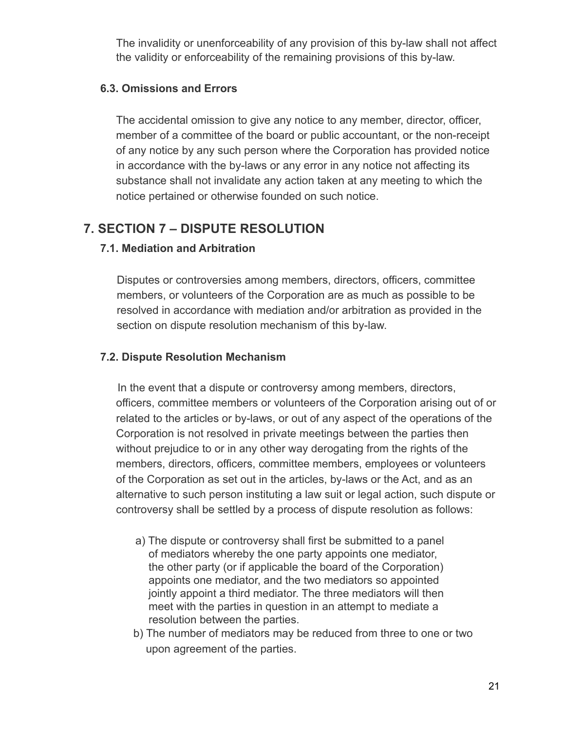The invalidity or unenforceability of any provision of this by-law shall not affect the validity or enforceability of the remaining provisions of this by-law.

### **6.3. Omissions and Errors**

The accidental omission to give any notice to any member, director, officer, member of a committee of the board or public accountant, or the non-receipt of any notice by any such person where the Corporation has provided notice in accordance with the by-laws or any error in any notice not affecting its substance shall not invalidate any action taken at any meeting to which the notice pertained or otherwise founded on such notice.

# **7. SECTION 7 – DISPUTE RESOLUTION**

## **7.1. Mediation and Arbitration**

Disputes or controversies among members, directors, officers, committee members, or volunteers of the Corporation are as much as possible to be resolved in accordance with mediation and/or arbitration as provided in the section on dispute resolution mechanism of this by-law.

## **7.2. Dispute Resolution Mechanism**

In the event that a dispute or controversy among members, directors, officers, committee members or volunteers of the Corporation arising out of or related to the articles or by-laws, or out of any aspect of the operations of the Corporation is not resolved in private meetings between the parties then without prejudice to or in any other way derogating from the rights of the members, directors, officers, committee members, employees or volunteers of the Corporation as set out in the articles, by-laws or the Act, and as an alternative to such person instituting a law suit or legal action, such dispute or controversy shall be settled by a process of dispute resolution as follows:

- a) The dispute or controversy shall first be submitted to a panel of mediators whereby the one party appoints one mediator, the other party (or if applicable the board of the Corporation) appoints one mediator, and the two mediators so appointed jointly appoint a third mediator. The three mediators will then meet with the parties in question in an attempt to mediate a resolution between the parties.
- b) The number of mediators may be reduced from three to one or two upon agreement of the parties.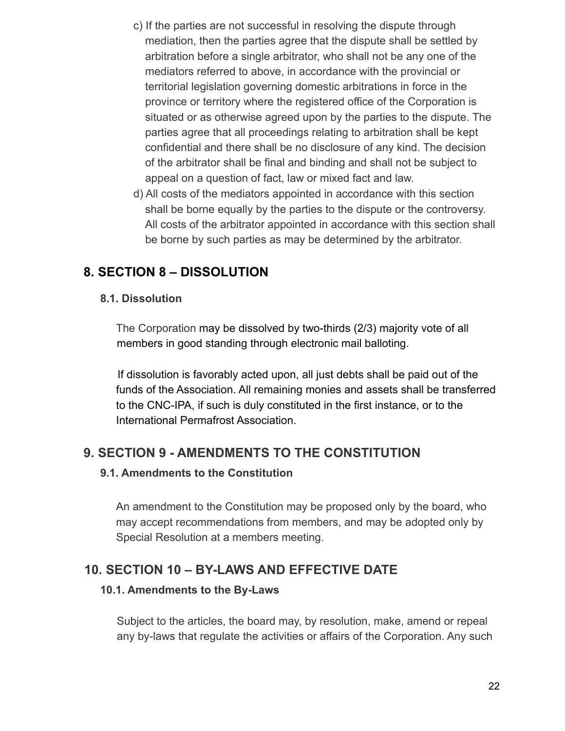- c) If the parties are not successful in resolving the dispute through mediation, then the parties agree that the dispute shall be settled by arbitration before a single arbitrator, who shall not be any one of the mediators referred to above, in accordance with the provincial or territorial legislation governing domestic arbitrations in force in the province or territory where the registered office of the Corporation is situated or as otherwise agreed upon by the parties to the dispute. The parties agree that all proceedings relating to arbitration shall be kept confidential and there shall be no disclosure of any kind. The decision of the arbitrator shall be final and binding and shall not be subject to appeal on a question of fact, law or mixed fact and law.
- d) All costs of the mediators appointed in accordance with this section shall be borne equally by the parties to the dispute or the controversy. All costs of the arbitrator appointed in accordance with this section shall be borne by such parties as may be determined by the arbitrator.

# **8. SECTION 8 – DISSOLUTION**

### **8.1. Dissolution**

The Corporation may be dissolved by two-thirds (2/3) majority vote of all members in good standing through electronic mail balloting.

If dissolution is favorably acted upon, all just debts shall be paid out of the funds of the Association. All remaining monies and assets shall be transferred to the CNC-IPA, if such is duly constituted in the first instance, or to the International Permafrost Association.

# **9. SECTION 9 - AMENDMENTS TO THE CONSTITUTION**

### **9.1. Amendments to the Constitution**

An amendment to the Constitution may be proposed only by the board, who may accept recommendations from members, and may be adopted only by Special Resolution at a members meeting.

## **10. SECTION 10 – BY-LAWS AND EFFECTIVE DATE**

### **10.1. Amendments to the By-Laws**

Subject to the articles, the board may, by resolution, make, amend or repeal any by-laws that regulate the activities or affairs of the Corporation. Any such